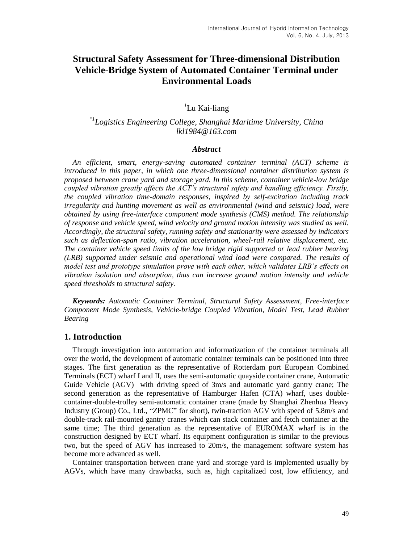# **Structural Safety Assessment for Three-dimensional Distribution Vehicle-Bridge System of Automated Container Terminal under Environmental Loads**

*1* Lu Kai-liang

*\*1 Logistics Engineering College, Shanghai Maritime University, China lkl1984@163.com*

#### *Abstract*

*An efficient, smart, energy-saving automated container terminal (ACT) scheme is introduced in this paper, in which one three-dimensional container distribution system is proposed between crane yard and storage yard. In this scheme, container vehicle-low bridge coupled vibration greatly affects the ACT's structural safety and handling efficiency. Firstly, the coupled vibration time-domain responses, inspired by self-excitation including track irregularity and hunting movement as well as environmental (wind and seismic) load, were obtained by using free-interface component mode synthesis (CMS) method. The relationship of response and vehicle speed, wind velocity and ground motion intensity was studied as well. Accordingly, the structural safety, running safety and stationarity were assessed by indicators such as deflection-span ratio, vibration acceleration, wheel-rail relative displacement, etc. The container vehicle speed limits of the low bridge rigid supported or lead rubber bearing (LRB) supported under seismic and operational wind load were compared. The results of model test and prototype simulation prove with each other, which validates LRB's effects on vibration isolation and absorption, thus can increase ground motion intensity and vehicle speed thresholds to structural safety.*

*Keywords: Automatic Container Terminal, Structural Safety Assessment, Free-interface Component Mode Synthesis, Vehicle-bridge Coupled Vibration, Model Test, Lead Rubber Bearing*

## **1. Introduction**

Through investigation into automation and informatization of the container terminals all over the world, the development of automatic container terminals can be positioned into three stages. The first generation as the representative of Rotterdam port European Combined Terminals (ECT) wharf I and II, uses the semi-automatic quayside container crane, Automatic Guide Vehicle (AGV) with driving speed of 3m/s and automatic yard gantry crane; The second generation as the representative of Hamburger Hafen (CTA) wharf, uses doublecontainer-double-trolley semi-automatic container crane (made by Shanghai Zhenhua Heavy Industry (Group) Co., Ltd., "ZPMC" for short), twin-traction AGV with speed of 5.8m/s and double-track rail-mounted gantry cranes which can stack container and fetch container at the same time; The third generation as the representative of EUROMAX wharf is in the construction designed by ECT wharf. Its equipment configuration is similar to the previous two, but the speed of AGV has increased to 20m/s, the management software system has become more advanced as well.

Container transportation between crane yard and storage yard is implemented usually by AGVs, which have many drawbacks, such as, high capitalized cost, low efficiency, and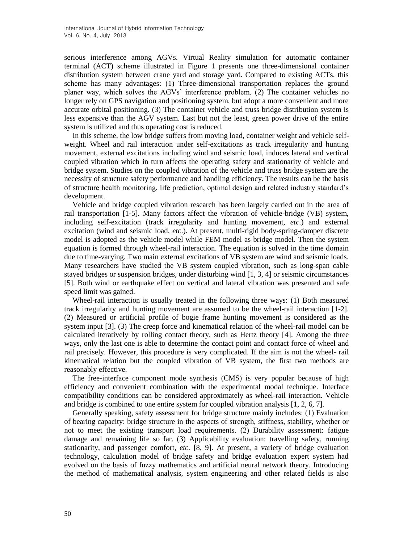serious interference among AGVs. Virtual Reality simulation for automatic container terminal (ACT) scheme illustrated in Figure 1 presents one three-dimensional container distribution system between crane yard and storage yard. Compared to existing ACTs, this scheme has many advantages: (1) Three-dimensional transportation replaces the ground planer way, which solves the AGVs' interference problem. (2) The container vehicles no longer rely on GPS navigation and positioning system, but adopt a more convenient and more accurate orbital positioning. (3) The container vehicle and truss bridge distribution system is less expensive than the AGV system. Last but not the least, green power drive of the entire system is utilized and thus operating cost is reduced.

In this scheme, the low bridge suffers from moving load, container weight and vehicle selfweight. Wheel and rail interaction under self-excitations as track irregularity and hunting movement, external excitations including wind and seismic load, induces lateral and vertical coupled vibration which in turn affects the operating safety and stationarity of vehicle and bridge system. Studies on the coupled vibration of the vehicle and truss bridge system are the necessity of structure safety performance and handling efficiency. The results can be the basis of structure health monitoring, life prediction, optimal design and related industry standard's development.

Vehicle and bridge coupled vibration research has been largely carried out in the area of rail transportation [1-5]. Many factors affect the vibration of vehicle-bridge (VB) system, including self-excitation (track irregularity and hunting movement, *etc*.) and external excitation (wind and seismic load, *etc*.). At present, multi-rigid body-spring-damper discrete model is adopted as the vehicle model while FEM model as bridge model. Then the system equation is formed through wheel-rail interaction. The equation is solved in the time domain due to time-varying. Two main external excitations of VB system are wind and seismic loads. Many researchers have studied the VB system coupled vibration, such as long-span cable stayed bridges or suspension bridges, under disturbing wind [1, 3, 4] or seismic circumstances [5]. Both wind or earthquake effect on vertical and lateral vibration was presented and safe speed limit was gained.

Wheel-rail interaction is usually treated in the following three ways: (1) Both measured track irregularity and hunting movement are assumed to be the wheel-rail interaction [1-2]. (2) Measured or artificial profile of bogie frame hunting movement is considered as the system input [3]. (3) The creep force and kinematical relation of the wheel-rail model can be calculated iteratively by rolling contact theory, such as Hertz theory [4]. Among the three ways, only the last one is able to determine the contact point and contact force of wheel and rail precisely. However, this procedure is very complicated. If the aim is not the wheel- rail kinematical relation but the coupled vibration of VB system, the first two methods are reasonably effective.

The free-interface component mode synthesis (CMS) is very popular because of high efficiency and convenient combination with the experimental modal technique. Interface compatibility conditions can be considered approximately as wheel-rail interaction. Vehicle and bridge is combined to one entire system for coupled vibration analysis [1, 2, 6, 7].

Generally speaking, safety assessment for bridge structure mainly includes: (1) Evaluation of bearing capacity: bridge structure in the aspects of strength, stiffness, stability, whether or not to meet the existing transport load requirements. (2) Durability assessment: fatigue damage and remaining life so far. (3) Applicability evaluation: travelling safety, running stationarity, and passenger comfort, *etc.* [8, 9]. At present, a variety of bridge evaluation technology, calculation model of bridge safety and bridge evaluation expert system had evolved on the basis of fuzzy mathematics and artificial neural network theory. Introducing the method of mathematical analysis, system engineering and other related fields is also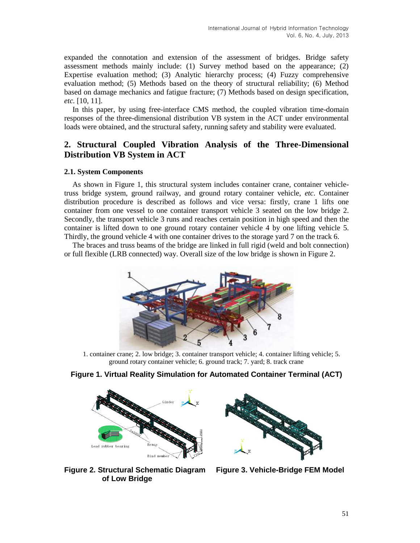expanded the connotation and extension of the assessment of bridges. Bridge safety assessment methods mainly include: (1) Survey method based on the appearance; (2) Expertise evaluation method; (3) Analytic hierarchy process; (4) Fuzzy comprehensive evaluation method; (5) Methods based on the theory of structural reliability; (6) Method based on damage mechanics and fatigue fracture; (7) Methods based on design specification, *etc.* [10, 11].

In this paper, by using free-interface CMS method, the coupled vibration time-domain responses of the three-dimensional distribution VB system in the ACT under environmental loads were obtained, and the structural safety, running safety and stability were evaluated.

# **2. Structural Coupled Vibration Analysis of the Three-Dimensional Distribution VB System in ACT**

## **2.1. System Components**

As shown in Figure 1, this structural system includes container crane, container vehicletruss bridge system, ground railway, and ground rotary container vehicle, *etc*. Container distribution procedure is described as follows and vice versa: firstly, crane 1 lifts one container from one vessel to one container transport vehicle 3 seated on the low bridge 2. Secondly, the transport vehicle 3 runs and reaches certain position in high speed and then the container is lifted down to one ground rotary container vehicle 4 by one lifting vehicle 5. Thirdly, the ground vehicle 4 with one container drives to the storage yard 7 on the track 6.

The braces and truss beams of the bridge are linked in full rigid (weld and bolt connection) or full flexible (LRB connected) way. Overall size of the low bridge is shown in Figure 2.



1. container crane; 2. low bridge; 3. container transport vehicle; 4. container lifting vehicle; 5. ground rotary container vehicle; 6. ground track; 7. yard; 8. track crane

## **Figure 1. Virtual Reality Simulation for Automated Container Terminal (ACT)**





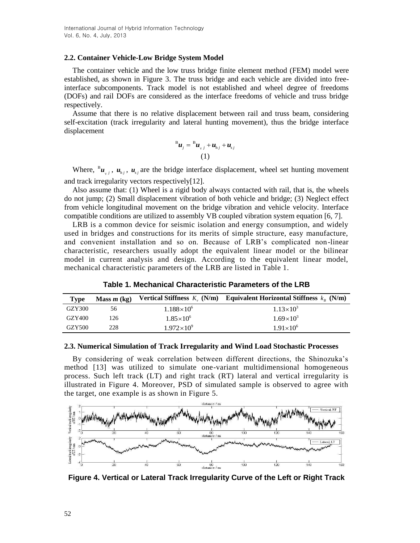## **2.2. Container Vehicle-Low Bridge System Model**

The container vehicle and the low truss bridge finite element method (FEM) model were established, as shown in Figure 3. The truss bridge and each vehicle are divided into freeinterface subcomponents. Track model is not established and wheel degree of freedoms (DOFs) and rail DOFs are considered as the interface freedoms of vehicle and truss bridge respectively.

Assume that there is no relative displacement between rail and truss beam, considering self-excitation (track irregularity and lateral hunting movement), thus the bridge interface displacement

$$
\mathbf{B}_{\boldsymbol{u}_j} = \mathbf{B}_{\boldsymbol{u}_{v,j}} + \boldsymbol{u}_{h,j} + \boldsymbol{u}_{s,j}
$$
\n
$$
(1)
$$

Where,  $\frac{B}{v}$  ${}^{\text{B}}\mathbf{u}_{v,i}$ ,  $\mathbf{u}_{h,i}$ ,  $\mathbf{u}_{s,j}$  are the bridge interface displacement, wheel set hunting movement and track irregularity vectors respectively[12].

Also assume that: (1) Wheel is a rigid body always contacted with rail, that is, the wheels do not jump; (2) Small displacement vibration of both vehicle and bridge; (3) Neglect effect from vehicle longitudinal movement on the bridge vibration and vehicle velocity. Interface compatible conditions are utilized to assembly VB coupled vibration system equation [6, 7].

LRB is a common device for seismic isolation and energy consumption, and widely used in bridges and constructions for its merits of simple structure, easy manufacture, and convenient installation and so on. Because of LRB's complicated non-linear characteristic, researchers usually adopt the equivalent linear model or the bilinear model in current analysis and design. According to the equivalent linear model, mechanical characteristic parameters of the LRB are listed in Table 1.

**Table 1. Mechanical Characteristic Parameters of the LRB**

| <b>Type</b> | Mass $m$ (kg) |                     | Vertical Stiffness $K_{n}$ (N/m) Equivalent Horizontal Stiffness $k_{n}$ (N/m) |
|-------------|---------------|---------------------|--------------------------------------------------------------------------------|
| GZY300      | 56            | $1.188\times10^{6}$ | $1.13\times10^{3}$                                                             |
| GZY400      | 126.          | $1.85\times10^{6}$  | $1.69\times10^{3}$                                                             |
| GZY500      | 228           | $1.972\times10^{9}$ | $1.91\times10^{6}$                                                             |

## **2.3. Numerical Simulation of Track Irregularity and Wind Load Stochastic Processes**

By considering of weak correlation between different directions, the Shinozuka's method [13] was utilized to simulate one-variant multidimensional homogeneous process. Such left track (LT) and right track (RT) lateral and vertical irregularity is illustrated in Figure 4. Moreover, PSD of simulated sample is observed to agree with the target, one example is as shown in Figure 5.



**Figure 4. Vertical or Lateral Track Irregularity Curve of the Left or Right Track**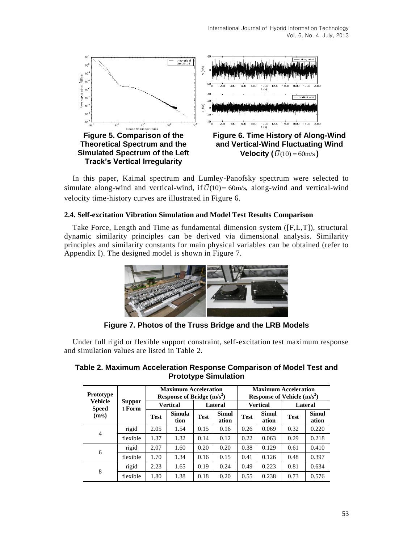International Journal of Hybrid Information Technology Vol. 6, No. 4, July, 2013



In this paper, Kaimal spectrum and Lumley-Panofsky spectrum were selected to simulate along-wind and vertical-wind, if  $\overline{U}(10) = 60$  m/s, along-wind and vertical-wind velocity time-history curves are illustrated in Figure 6.

# **2.4. Self-excitation Vibration Simulation and Model Test Results Comparison**

Take Force, Length and Time as fundamental dimension system ([F,L,T]), structural dynamic similarity principles can be derived via dimensional analysis. Similarity principles and similarity constants for main physical variables can be obtained (refer to Appendix I). The designed model is shown in Figure 7.



**Figure 7. Photos of the Truss Bridge and the LRB Models**

Under full rigid or flexible support constraint, self-excitation test maximum response and simulation values are listed in Table 2.

| Prototype                      |                         |             | <b>Maximum Acceleration</b><br>Response of Bridge $(m/s^2)$ |      |                       | <b>Maximum Acceleration</b><br>Response of Vehicle $(m/s^2)$ |                       |             |                       |  |  |  |  |
|--------------------------------|-------------------------|-------------|-------------------------------------------------------------|------|-----------------------|--------------------------------------------------------------|-----------------------|-------------|-----------------------|--|--|--|--|
| <b>Vehicle</b><br><b>Speed</b> | <b>Suppor</b><br>t Form |             | <b>Vertical</b>                                             |      | Lateral               |                                                              | <b>Vertical</b>       | Lateral     |                       |  |  |  |  |
| (m/s)                          |                         | <b>Test</b> | Simula<br><b>Test</b><br>tion                               |      | <b>Simul</b><br>ation | <b>Test</b>                                                  | <b>Simul</b><br>ation | <b>Test</b> | <b>Simul</b><br>ation |  |  |  |  |
| $\overline{4}$                 | rigid                   | 2.05        | 1.54                                                        | 0.15 | 0.16                  | 0.26                                                         | 0.069                 | 0.32        | 0.220                 |  |  |  |  |
|                                | flexible                | 1.37        | 1.32                                                        | 0.14 | 0.12                  | 0.22                                                         | 0.063                 | 0.29        | 0.218                 |  |  |  |  |
| 6                              | rigid                   | 2.07        | 1.60                                                        | 0.20 | 0.20                  | 0.38                                                         | 0.129                 | 0.61        | 0.410                 |  |  |  |  |
|                                | flexible                | 1.70        | 1.34                                                        | 0.16 | 0.15                  | 0.41                                                         | 0.126                 | 0.48        | 0.397                 |  |  |  |  |
| 8                              | rigid                   | 2.23        | 1.65                                                        | 0.19 | 0.24                  | 0.49                                                         | 0.223                 | 0.81        | 0.634                 |  |  |  |  |
|                                | flexible                | 1.80        | 1.38                                                        | 0.18 | 0.20                  | 0.55                                                         | 0.238                 | 0.73        | 0.576                 |  |  |  |  |

**Table 2. Maximum Acceleration Response Comparison of Model Test and Prototype Simulation**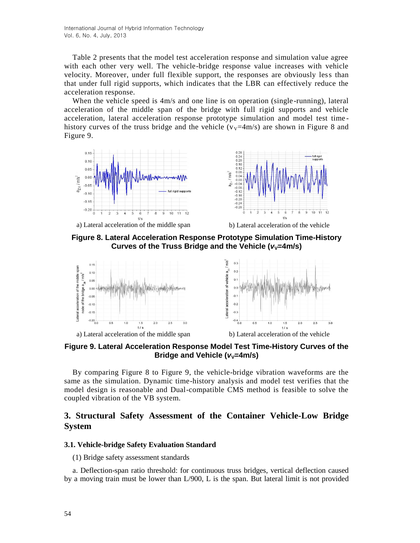International Journal of Hybrid Information Technology Vol. 6, No. 4, July, 2013

Table 2 presents that the model test acceleration response and simulation value agree with each other very well. The vehicle-bridge response value increases with vehicle velocity. Moreover, under full flexible support, the responses are obviously less than that under full rigid supports, which indicates that the LBR can effectively reduce the acceleration response.

When the vehicle speed is  $4m/s$  and one line is on operation (single-running), lateral acceleration of the middle span of the bridge with full rigid supports and vehicle acceleration, lateral acceleration response prototype simulation and model test time history curves of the truss bridge and the vehicle ( $v_y=4m/s$ ) are shown in Figure 8 and Figure 9.





a) Lateral acceleration of the middle span b) Lateral acceleration of the vehicle

**Figure 8. Lateral Acceleration Response Prototype Simulation Time-History Curves of the Truss Bridge and the Vehicle (** $v<sub>v</sub>$ **=4m/s)** 



**Figure 9. Lateral Acceleration Response Model Test Time-History Curves of the Bridge and Vehicle (** $v_y$ **=4m/s)** 

By comparing Figure 8 to Figure 9, the vehicle-bridge vibration waveforms are the same as the simulation. Dynamic time-history analysis and model test verifies that the model design is reasonable and Dual-compatible CMS method is feasible to solve the coupled vibration of the VB system.

# **3. Structural Safety Assessment of the Container Vehicle-Low Bridge System**

## **3.1. Vehicle-bridge Safety Evaluation Standard**

(1) Bridge safety assessment standards

a. Deflection-span ratio threshold: for continuous truss bridges, vertical deflection caused by a moving train must be lower than L/900, L is the span. But lateral limit is not provided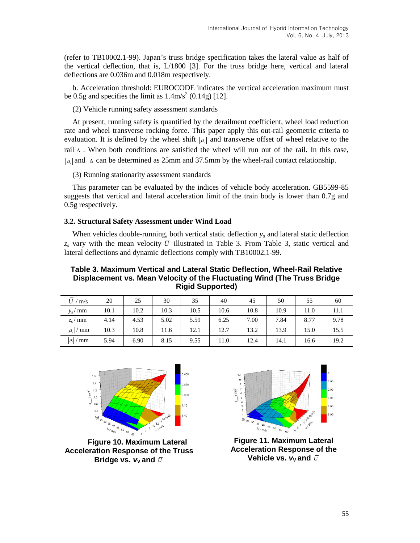(refer to TB10002.1-99). Japan's truss bridge specification takes the lateral value as half of the vertical deflection, that is, L/1800 [3]. For the truss bridge here, vertical and lateral deflections are 0.036m and 0.018m respectively.

b. Acceleration threshold: EUROCODE indicates the vertical acceleration maximum must be 0.5g and specifies the limit as  $1.4 \text{m/s}^2$  (0.14g) [12].

(2) Vehicle running safety assessment standards

At present, running safety is quantified by the derailment coefficient, wheel load reduction rate and wheel transverse rocking force. This paper apply this out-rail geometric criteria to evaluation. It is defined by the wheel shift  $|\mu_{\rm s}|$  and transverse offset of wheel relative to the rail  $|\Delta|$ . When both conditions are satisfied the wheel will run out of the rail. In this case,  $\mu$ , and  $|\Delta|$  can be determined as 25mm and 37.5mm by the wheel-rail contact relationship.

(3) Running stationarity assessment standards

This parameter can be evaluated by the indices of vehicle body acceleration. GB5599-85 suggests that vertical and lateral acceleration limit of the train body is lower than 0.7g and 0.5g respectively.

## **3.2. Structural Safety Assessment under Wind Load**

When vehicles double-running, both vertical static deflection  $y_s$  and lateral static deflection  $z_s$  vary with the mean velocity  $\bar{U}$  illustrated in Table 3. From Table 3, static vertical and lateral deflections and dynamic deflections comply with TB10002.1-99.

# **Table 3. Maximum Vertical and Lateral Static Deflection, Wheel-Rail Relative Displacement vs. Mean Velocity of the Fluctuating Wind (The Truss Bridge Rigid Supported)**

| U<br>m/s           | 20   | 25   | 30   | 35   | 40   | 45   | 50   | 55   | 60   |
|--------------------|------|------|------|------|------|------|------|------|------|
| $y_s$ / mm         | 10.1 | 10.2 | 10.3 | 10.5 | 10.6 | 10.8 | 10.9 | 11.0 | 11.1 |
| $z_s$ mm           | 4.14 | 4.53 | 5.02 | 5.59 | 6.25 | 7.00 | 7.84 | 8.77 | 9.78 |
| / mm<br>$\mu$      | 10.3 | 10.8 | 11.6 | 12.1 | 12.7 | 13.2 | 13.9 | 15.0 | 15.5 |
| $ \Delta $<br>' mm | 5.94 | 6.90 | 8.15 | 9.55 | 11.0 | 12.4 | 14.1 | 16.6 | 19.2 |



**Figure 10. Maximum Lateral Acceleration Response of the Truss**  Bridge vs.  $v_v$  and  $\bar{v}$ 



**Figure 11. Maximum Lateral Acceleration Response of the Vehicle vs.**  $\mathsf{v}_\mathsf{V}$  **and**  $\bar{v}$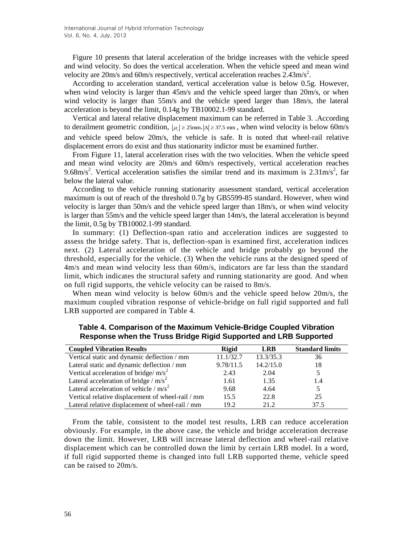Figure 10 presents that lateral acceleration of the bridge increases with the vehicle speed and wind velocity. So does the vertical acceleration. When the vehicle speed and mean wind velocity are 20m/s and 60m/s respectively, vertical acceleration reaches  $2.43 \text{m/s}^2$ .

According to acceleration standard, vertical acceleration value is below 0.5g. However, when wind velocity is larger than 45m/s and the vehicle speed larger than 20m/s, or when wind velocity is larger than 55m/s and the vehicle speed larger than 18m/s, the lateral acceleration is beyond the limit, 0.14g by TB10002.1-99 standard.

Vertical and lateral relative displacement maximum can be referred in Table 3. .According to derailment geometric condition,  $|\mu_s| \ge 25$ mm,  $|\Delta| \ge 37.5$  mm, when wind velocity is below 60m/s and vehicle speed below 20m/s, the vehicle is safe. It is noted that wheel-rail relative displacement errors do exist and thus stationarity indictor must be examined further.

From Figure 11, lateral acceleration rises with the two velocities. When the vehicle speed and mean wind velocity are 20m/s and 60m/s respectively, vertical acceleration reaches 9.68m/s<sup>2</sup>. Vertical acceleration satisfies the similar trend and its maximum is  $2.31 \text{m/s}^2$ , far below the lateral value.

According to the vehicle running stationarity assessment standard, vertical acceleration maximum is out of reach of the threshold 0.7g by GB5599-85 standard. However, when wind velocity is larger than 50m/s and the vehicle speed larger than 18m/s, or when wind velocity is larger than 55m/s and the vehicle speed larger than 14m/s, the lateral acceleration is beyond the limit, 0.5g by TB10002.1-99 standard.

In summary: (1) Deflection-span ratio and acceleration indices are suggested to assess the bridge safety. That is, deflection-span is examined first, acceleration indices next. (2) Lateral acceleration of the vehicle and bridge probably go beyond the threshold, especially for the vehicle. (3) When the vehicle runs at the designed speed of 4m/s and mean wind velocity less than 60m/s, indicators are far less than the standard limit, which indicates the structural safety and running stationarity are good. And when on full rigid supports, the vehicle velocity can be raised to 8m/s.

When mean wind velocity is below 60m/s and the vehicle speed below 20m/s, the maximum coupled vibration response of vehicle-bridge on full rigid supported and full LRB supported are compared in Table 4.

| <b>Coupled Vibration Results</b>                  | Rigid     | <b>LRB</b> | <b>Standard limits</b> |
|---------------------------------------------------|-----------|------------|------------------------|
| Vertical static and dynamic deflection / mm       | 11.1/32.7 | 13.3/35.3  | 36                     |
| Lateral static and dynamic deflection / mm        | 9.78/11.5 | 14.2/15.0  | 18                     |
| Vertical acceleration of bridge/ $m/s^2$          | 2.43      | 2.04       |                        |
| Lateral acceleration of bridge / $m/s2$           | 1.61      | 1.35       | 1.4                    |
| Lateral acceleration of vehicle / $m/s2$          | 9.68      | 4.64       |                        |
| Vertical relative displacement of wheel-rail / mm | 15.5      | 22.8       | 25                     |
| Lateral relative displacement of wheel-rail / mm  | 19.2      | 21 2       | 37.5                   |

| Table 4. Comparison of the Maximum Vehicle-Bridge Coupled Vibration |  |
|---------------------------------------------------------------------|--|
| Response when the Truss Bridge Rigid Supported and LRB Supported    |  |

From the table, consistent to the model test results, LRB can reduce acceleration obviously. For example, in the above case, the vehicle and bridge acceleration decrease down the limit. However, LRB will increase lateral deflection and wheel-rail relative displacement which can be controlled down the limit by certain LRB model. In a word, if full rigid supported theme is changed into full LRB supported theme, vehicle speed can be raised to 20m/s.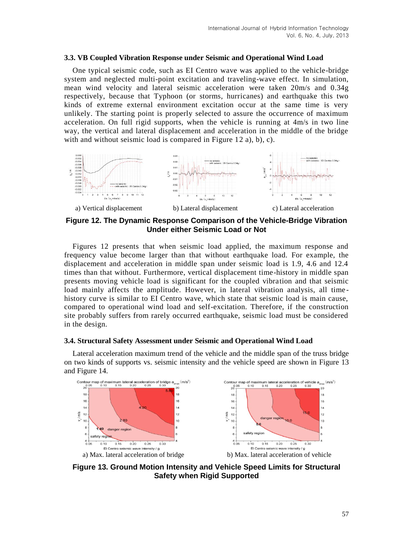#### **3.3. VB Coupled Vibration Response under Seismic and Operational Wind Load**

One typical seismic code, such as EI Centro wave was applied to the vehicle-bridge system and neglected multi-point excitation and traveling-wave effect. In simulation, mean wind velocity and lateral seismic acceleration were taken 20m/s and 0.34g respectively, because that Typhoon (or storms, hurricanes) and earthquake this two kinds of extreme external environment excitation occur at the same time is very unlikely. The starting point is properly selected to assure the occurrence of maximum acceleration. On full rigid supports, when the vehicle is running at 4m/s in two line way, the vertical and lateral displacement and acceleration in the middle of the bridge with and without seismic load is compared in Figure 12 a), b), c).



**Under either Seismic Load or Not**

Figures 12 presents that when seismic load applied, the maximum response and frequency value become larger than that without earthquake load. For example, the displacement and acceleration in middle span under seismic load is 1.9, 4.6 and 12.4 times than that without. Furthermore, vertical displacement time-history in middle span presents moving vehicle load is significant for the coupled vibration and that seismic load mainly affects the amplitude. However, in lateral vibration analysis, all time history curve is similar to EI Centro wave, which state that seismic load is main cause, compared to operational wind load and self-excitation. Therefore, if the construction site probably suffers from rarely occurred earthquake, seismic load must be considered in the design.

## **3.4. Structural Safety Assessment under Seismic and Operational Wind Load**

Lateral acceleration maximum trend of the vehicle and the middle span of the truss bridge on two kinds of supports vs. seismic intensity and the vehicle speed are shown in Figure 13 and Figure 14.



**Figure 13. Ground Motion Intensity and Vehicle Speed Limits for Structural Safety when Rigid Supported**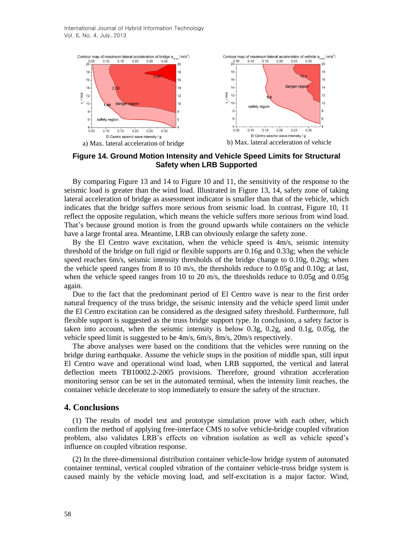

**Figure 14. Ground Motion Intensity and Vehicle Speed Limits for Structural Safety when LRB Supported** 

By comparing Figure 13 and 14 to Figure 10 and 11, the sensitivity of the response to the seismic load is greater than the wind load. Illustrated in Figure 13, 14, safety zone of taking lateral acceleration of bridge as assessment indicator is smaller than that of the vehicle, which indicates that the bridge suffers more serious from seismic load. In contrast, Figure 10, 11 reflect the opposite regulation, which means the vehicle suffers more serious from wind load. That's because ground motion is from the ground upwards while containers on the vehicle have a large frontal area. Meantime, LRB can obviously enlarge the safety zone.

By the El Centro wave excitation, when the vehicle speed is 4m/s, seismic intensity threshold of the bridge on full rigid or flexible supports are 0.16g and 0.33g; when the vehicle speed reaches 6m/s, seismic intensity thresholds of the bridge change to 0.10g, 0.20g; when the vehicle speed ranges from 8 to 10 m/s, the thresholds reduce to  $0.05g$  and  $0.10g$ ; at last, when the vehicle speed ranges from 10 to 20 m/s, the thresholds reduce to 0.05g and 0.05g again.

Due to the fact that the predominant period of El Centro wave is near to the first order natural frequency of the truss bridge, the seismic intensity and the vehicle speed limit under the El Centro excitation can be considered as the designed safety threshold. Furthermore, full flexible support is suggested as the truss bridge support type. In conclusion, a safety factor is taken into account, when the seismic intensity is below 0.3g, 0.2g, and 0.1g, 0.05g, the vehicle speed limit is suggested to be 4m/s, 6m/s, 8m/s, 20m/s respectively.

The above analyses were based on the conditions that the vehicles were running on the bridge during earthquake. Assume the vehicle stops in the position of middle span, still input El Centro wave and operational wind load, when LRB supported, the vertical and lateral deflection meets TB10002.2-2005 provisions. Therefore, ground vibration acceleration monitoring sensor can be set in the automated terminal, when the intensity limit reaches, the container vehicle decelerate to stop immediately to ensure the safety of the structure.

## **4. Conclusions**

(1) The results of model test and prototype simulation prove with each other, which confirm the method of applying free-interface CMS to solve vehicle-bridge coupled vibration problem, also validates LRB's effects on vibration isolation as well as vehicle speed's influence on coupled vibration response.

(2) In the three-dimensional distribution container vehicle-low bridge system of automated container terminal, vertical coupled vibration of the container vehicle-truss bridge system is caused mainly by the vehicle moving load, and self-excitation is a major factor. Wind,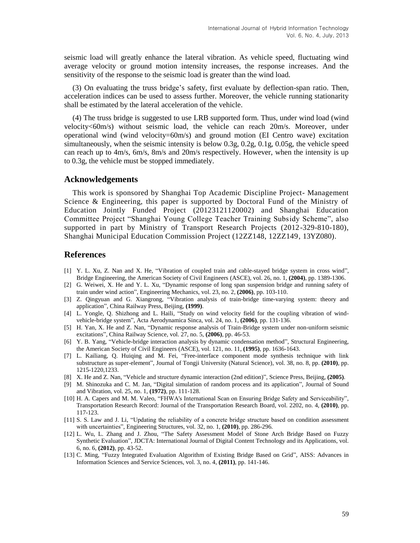seismic load will greatly enhance the lateral vibration. As vehicle speed, fluctuating wind average velocity or ground motion intensity increases, the response increases. And the sensitivity of the response to the seismic load is greater than the wind load.

(3) On evaluating the truss bridge's safety, first evaluate by deflection-span ratio. Then, acceleration indices can be used to assess further. Moreover, the vehicle running stationarity shall be estimated by the lateral acceleration of the vehicle.

(4) The truss bridge is suggested to use LRB supported form. Thus, under wind load (wind velocity<60m/s) without seismic load, the vehicle can reach 20m/s. Moreover, under operational wind (wind velocity=60m/s) and ground motion (EI Centro wave) excitation simultaneously, when the seismic intensity is below 0.3g, 0.2g, 0.1g, 0.05g, the vehicle speed can reach up to 4m/s, 6m/s, 8m/s and 20m/s respectively. However, when the intensity is up to 0.3g, the vehicle must be stopped immediately.

## **Acknowledgements**

This work is sponsored by Shanghai Top Academic Discipline Project- Management Science & Engineering, this paper is supported by Doctoral Fund of the Ministry of Education Jointly Funded Project (20123121120002) and Shanghai Education Committee Project "Shanghai Young College Teacher Training Subsidy Scheme", also supported in part by Ministry of Transport Research Projects (2012-329-810-180), Shanghai Municipal Education Commission Project (12ZZ148, 12ZZ149, 13YZ080).

## **References**

- [1] Y. L. Xu, Z. Nan and X. He, "Vibration of coupled train and cable-stayed bridge system in cross wind", Bridge Engineering, the American Society of Civil Engineers (ASCE), vol. 26, no. 1, **(2004)**, pp. 1389-1306.
- [2] G. Weiwei, X. He and Y. L. Xu, "Dynamic response of long span suspension bridge and running safety of train under wind action", Engineering Mechanics, vol. 23, no. 2, **(2006)**, pp. 103-110.
- [3] Z. Qingyuan and G. Xiangrong, "Vibration analysis of train-bridge time-varying system: theory and application", China Railway Press, Beijing, **(1999)**.
- [4] L. Yongle, Q. Shizhong and L. Haili, "Study on wind velocity field for the coupling vibration of windvehicle-bridge system", Acta Aerodynamica Sinca, vol. 24, no. 1, **(2006)**, pp. 131-136.
- [5] H. Yan, X. He and Z. Nan, "Dynamic response analysis of Train-Bridge system under non-uniform seismic excitations", [China Railway Science,](http://dlib.cnki.net/KNS50/Navi/Bridge.aspx?LinkType=BaseLink&DBCode=cjfd&TableName=cjfdbaseinfo&Field=BaseID&Value=ZGTK&NaviLink=%e4%b8%ad%e5%9b%bd%e9%93%81%e9%81%93%e7%a7%91%e5%ad%a6) vol. 27, no. 5, **(2006)**, pp. 46-53.
- [6] Y. B. Yang, "Vehicle-bridge interaction analysis by dynamic condensation method", Structural Engineering, the American Society of Civil Engineers (ASCE), vol. 121, no. 11, **(1995)**, pp. 1636-1643.
- [7] L. Kailiang, Q. Huiqing and M. Fei, "Free-interface component mode synthesis technique with link substructure as super-element", [Journal of Tongji University \(Natural Science\),](http://dlib.cnki.net/KNS50/Navi/Bridge.aspx?LinkType=BaseLink&DBCode=cjfd&TableName=cjfdbaseinfo&Field=BaseID&Value=TJDZ&NaviLink=%e5%90%8c%e6%b5%8e%e5%a4%a7%e5%ad%a6%e5%ad%a6%e6%8a%a5(%e8%87%aa%e7%84%b6%e7%a7%91%e5%ad%a6%e7%89%88)) vol. 38, no. 8, pp. **(2010)**, pp. 1215-1220,1233.
- [8] X. He and Z. Nan, "Vehicle and structure dynamic interaction (2nd edition)", Science Press, Beijing, **(2005)**.
- [9] M. Shinozuka and C. M. Jan, "Digital simulation of random process and its application", Journal of Sound and Vibration, vol. 25, no. 1, **(1972)**, pp. 111-128.
- [10] H. A. Capers and M. M. Valeo, "FHWA's International Scan on Ensuring Bridge Safety and Serviceability", Transportation Research Record: Journal of the Transportation Research Board, vol. 2202, no. 4, **(2010)**, pp. 117-123.
- [11] S. S. Law and J. Li, "Updating the reliability of a concrete bridge structure based on condition assessment with uncertainties", Engineering Structures, vol. 32, no. 1, **(2010)**, pp. 286-296.
- [12] L. Wu, L. Zhang and J. Zhou, "The Safety Assessment Model of Stone Arch Bridge Based on Fuzzy Synthetic Evaluation", JDCTA: International Journal of Digital Content Technology and its Applications, vol. 6, no. 6, **(2012)**, pp. 43-52.
- [13] C. Ming, "Fuzzy Integrated Evaluation Algorithm of Existing Bridge Based on Grid", AISS: Advances in Information Sciences and Service Sciences, vol. 3, no. 4, **(2011)**, pp. 141-146.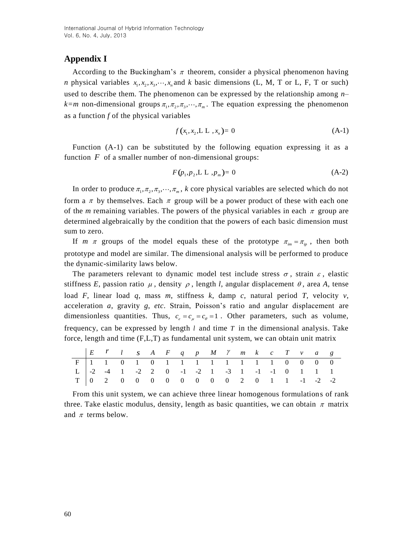# **Appendix I**

According to the Buckingham's  $\pi$  theorem, consider a physical phenomenon having *n* physical variables  $x_1, x_2, x_3, \dots, x_n$  and *k* basic dimensions (L, M, T or L, F, T or such) used to describe them. The phenomenon can be expressed by the relationship among *n*–  $k=m$  non-dimensional groups  $\pi_1, \pi_2, \pi_3, \dots, \pi_m$ . The equation expressing the phenomenon as a function *f* of the physical variables

$$
f(x_1, x_2, L L, x_n) = 0
$$
 (A-1)

Function (A-1) can be substituted by the following equation expressing it as a function  $F$  of a smaller number of non-dimensional groups:

$$
F(p_1, p_2, L L, p_m) = 0 \tag{A-2}
$$

In order to produce  $\pi_1, \pi_2, \pi_3, \dots, \pi_m$ , *k* core physical variables are selected which do not form a  $\pi$  by themselves. Each  $\pi$  group will be a power product of these with each one of the *m* remaining variables. The powers of the physical variables in each  $\pi$  group are determined algebraically by the condition that the powers of each basic dimension must sum to zero.

If *m*  $\pi$  groups of the model equals these of the prototype  $\pi_{im} = \pi_{ip}$ , then both prototype and model are similar. The dimensional analysis will be performed to produce the dynamic-similarity laws below.

The parameters relevant to dynamic model test include stress  $\sigma$ , strain  $\varepsilon$ , elastic stiffness E, passion ratio  $\mu$ , density  $\rho$ , length *l*, angular displacement  $\theta$ , area A, tense load *F*, linear load *q*, mass *m*, stiffness *k*, damp *c*, natural period *T*, velocity *v*, acceleration *a*, gravity *g*, *etc*. Strain, Poisson's ratio and angular displacement are dimensionless quantities. Thus,  $c_{\varepsilon} = c_{\mu} = c_{\theta} = 1$ . Other parameters, such as volume, frequency, can be expressed by length  $l$  and time  $T$  in the dimensional analysis. Take force, length and time (F,L,T) as fundamental unit system, we can obtain unit matrix

|  |  |  |  |  |  |  | $F$   1 1 0 1 0 1 1 1 1 1 1 1 1 1 0 0 0 0 |  |
|--|--|--|--|--|--|--|-------------------------------------------|--|
|  |  |  |  |  |  |  |                                           |  |
|  |  |  |  |  |  |  |                                           |  |

From this unit system, we can achieve three linear homogenous formulations of rank three. Take elastic modulus, density, length as basic quantities, we can obtain  $\pi$  matrix and  $\pi$  terms below.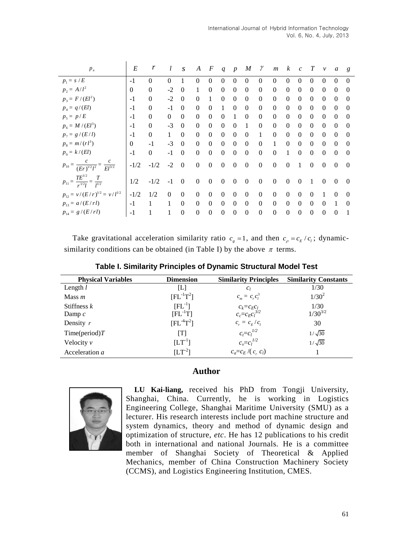| $p_n$                                                                     | E        | r        | l        | $\boldsymbol{S}$ | A              | $\boldsymbol{F}$ | q              | $\boldsymbol{p}$ | M            | γ            | $\boldsymbol{m}$ | $\boldsymbol{k}$ | $\mathcal{C}$ | T            | $\mathcal{V}$ | $\boldsymbol{a}$ | g        |
|---------------------------------------------------------------------------|----------|----------|----------|------------------|----------------|------------------|----------------|------------------|--------------|--------------|------------------|------------------|---------------|--------------|---------------|------------------|----------|
| $p_1 = s / E$                                                             | $-1$     | $\theta$ | $\Omega$ | 1                | $\Omega$       | $\Omega$         | $\Omega$       | $\Omega$         | $\Omega$     | $\Omega$     | $\Omega$         | $\Omega$         | $\Omega$      | $\Omega$     | $\Omega$      | $\Omega$         | $\Omega$ |
| $p_2 = A/l^2$                                                             | $\theta$ | $\Omega$ | $-2$     | $\Omega$         |                | $\mathbf{0}$     | $\mathbf{0}$   | $\mathbf{0}$     | $\Omega$     | $\Omega$     | $\theta$         | $\Omega$         | $\Omega$      | $\Omega$     | $\Omega$      | $\theta$         | $\Omega$ |
| $p_3 = F/(El^2)$                                                          | $-1$     | $\Omega$ | $-2$     | $\Omega$         | $\Omega$       | 1                | $\Omega$       | $\overline{0}$   | $\Omega$     | $\Omega$     | $\Omega$         | $\Omega$         | $\Omega$      | $\Omega$     | $\Omega$      | $\theta$         | $\Omega$ |
| $p_4 = q/(El)$                                                            | $-1$     | $\Omega$ | -1       | $\Omega$         | $\Omega$       | $\Omega$         | 1              | $\Omega$         | $\theta$     | $\Omega$     | $\Omega$         | $\Omega$         | $\Omega$      | $\Omega$     | $\Omega$      | $\Omega$         | $\Omega$ |
| $p_5 = p/E$                                                               | $-1$     | $\Omega$ | $\Omega$ | $\Omega$         | $\Omega$       | $\Omega$         | $\Omega$       | 1                | $\Omega$     | $\Omega$     | $\Omega$         | $\Omega$         | $\Omega$      | $\Omega$     | $\Omega$      | $\Omega$         | $\Omega$ |
| $p_6 = M / (El^3)$                                                        | $-1$     | $\Omega$ | $-3$     | $\Omega$         | $\Omega$       | $\Omega$         | $\Omega$       | $\Omega$         | 1            | $\Omega$     | $\Omega$         | $\Omega$         | $\Omega$      | $\Omega$     | $\Omega$      | $\Omega$         | $\Omega$ |
| $p_7 = g \mathbin{/} (E/l)$                                               | $-1$     | $\Omega$ | 1        | $\theta$         | $\Omega$       | $\Omega$         | $\Omega$       | $\Omega$         | $\Omega$     | 1            | $\Omega$         | $\Omega$         | $\Omega$      | $\Omega$     | 0             | $\Omega$         | $\Omega$ |
| $p_8 = m/(rl^3)$                                                          | $\Omega$ | $-1$     | $-3$     | $\Omega$         | $\Omega$       | $\Omega$         | $\Omega$       | $\Omega$         | $\Omega$     | $\Omega$     | 1                | $\Omega$         | $\Omega$      | $\Omega$     | $\Omega$      | $\Omega$         | $\Omega$ |
| $p_9 = k/(El)$                                                            | $-1$     | $\Omega$ | $-1$     | $\Omega$         | $\theta$       | $\mathbf{0}$     | $\mathbf{0}$   | $\overline{0}$   | $\mathbf{0}$ | $\mathbf{0}$ | $\theta$         | 1                | $\theta$      | $\mathbf{0}$ | $\Omega$      | $\theta$         | $\Omega$ |
| $p_{10} = -$<br>$(\overline{Er})^{1/2}l^2$<br>$\overline{El^{3/2}}$       | $-1/2$   | $-1/2$   | $-2$     | $\overline{0}$   | $\mathbf{0}$   | $\mathbf{0}$     | $\overline{0}$ | $\overline{0}$   | $\mathbf{0}$ | $\mathbf{0}$ | $\overline{0}$   | $\mathbf{0}$     | 1             | $\theta$     | $\Omega$      | $\mathbf{0}$     | $\Omega$ |
| $TE^{1/2}$<br>$\tau$<br>$p_{11} = \frac{1}{r^{1/2}l} = \frac{1}{l^{1/2}}$ | 1/2      | $-1/2$   | $-1$     | $\Omega$         | $\overline{0}$ | $\mathbf{0}$     | $\mathbf{0}$   | $\mathbf{0}$     | $\mathbf{0}$ | $\Omega$     | $\theta$         | $\overline{0}$   | $\theta$      | 1            | $\Omega$      | $\mathbf{0}$     | $\Omega$ |
| $p_{12} = v / (E / r)^{1/2} = v / l^{1/2}$                                | $-1/2$   | 1/2      | $\Omega$ | $\Omega$         | $\Omega$       | $\mathbf{0}$     | $\Omega$       | $\Omega$         | $\Omega$     | $\Omega$     | $\Omega$         | $\Omega$         | $\Omega$      | $\Omega$     |               | $\Omega$         | $\Omega$ |
| $p_{13} = a/(E/rl)$                                                       | $-1$     |          |          | $\Omega$         | $\Omega$       | $\mathbf{0}$     | $\mathbf{0}$   | $\Omega$         | $\Omega$     | $\Omega$     | $\Omega$         | $\Omega$         | $\Omega$      | $\Omega$     | 0             |                  | $\Omega$ |
| $p_{14} = g/(E/rl)$                                                       | $-1$     | 1        |          | $\overline{0}$   | $\theta$       | $\boldsymbol{0}$ | $\mathbf{0}$   | $\overline{0}$   | $\theta$     | $\theta$     | $\theta$         | $\mathbf{0}$     | $\theta$      | $\theta$     | $\theta$      | $\theta$         |          |

Take gravitational acceleration similarity ratio  $c<sub>g</sub> = 1$ , and then  $c<sub>\rho</sub> = c<sub>E</sub> / c<sub>l</sub>$ ; dynamicsimilarity conditions can be obtained (in Table I) by the above  $\pi$  terms.

| <b>Physical Variables</b> | <b>Dimension</b> | <b>Similarity Principles</b>                      | <b>Similarity Constants</b> |
|---------------------------|------------------|---------------------------------------------------|-----------------------------|
| Length $l$                | ſLΙ              | c <sub>I</sub>                                    | 1/30                        |
| Mass $m$                  | $[FL^{-1}T^2]$   | $c_m = c_r c_l^3$                                 | $1/30^2$                    |
| Stiffness $k$             | $[FL^{-1}]$      |                                                   | 1/30                        |
| Damp $c$                  | $[FL^{-1}T]$     | $c_k = c_E c_l$<br>$c_c = c_E c_l$ <sup>3/2</sup> | $1/30^{3/2}$                |
| Density $r$               | $[FL^{-4}T^2]$   | $c_r = c_F/c_l$                                   | 30                          |
| Time (period) T           | [T]              | $c_t = c_l^{1/2}$                                 | $1/\sqrt{30}$               |
| Velocity $\nu$            | $[LT^{-1}]$      | $c_v = c_l^{1/2}$                                 | $1/\sqrt{30}$               |
| Acceleration a            | $[LT^{-2}]$      | $c_a = c_E / (c, c_l)$                            |                             |

**Table I. Similarity Principles of Dynamic Structural Model Test**

## **Author**



**LU Kai-liang,** received his PhD from Tongji University, Shanghai, China. Currently, he is working in Logistics Engineering College, Shanghai Maritime University (SMU) as a lecturer. His research interests include port machine structure and system dynamics, theory and method of dynamic design and optimization of structure, *etc*. He has 12 publications to his credit both in international and national Journals. He is a committee member of Shanghai Society of Theoretical & Applied Mechanics, member of China Construction Machinery Society (CCMS), and Logistics Engineering Institution, CMES.